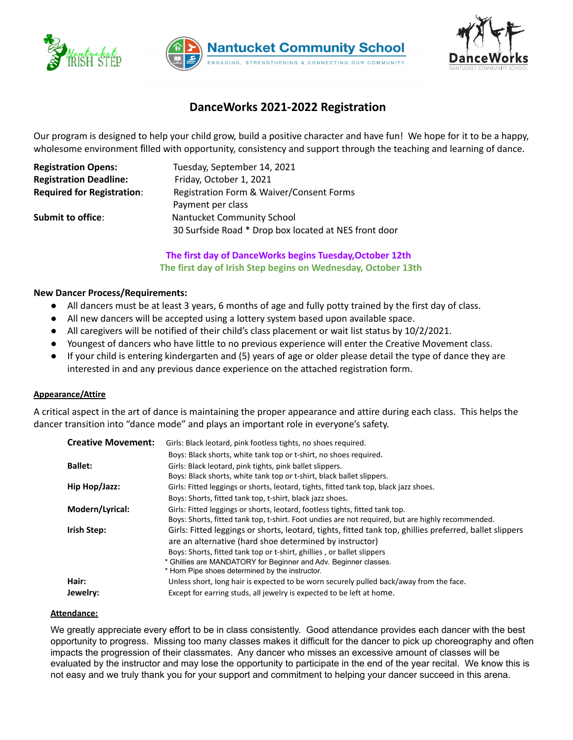





## **DanceWorks 2021-2022 Registration**

Our program is designed to help your child grow, build a positive character and have fun! We hope for it to be a happy, wholesome environment filled with opportunity, consistency and support through the teaching and learning of dance.

| Tuesday, September 14, 2021                           |
|-------------------------------------------------------|
| Friday, October 1, 2021                               |
| Registration Form & Waiver/Consent Forms              |
| Payment per class                                     |
| Nantucket Community School                            |
| 30 Surfside Road * Drop box located at NES front door |
|                                                       |

### **The first day of DanceWorks begins Tuesday,October 12th The first day of Irish Step begins on Wednesday, October 13th**

#### **New Dancer Process/Requirements:**

- All dancers must be at least 3 years, 6 months of age and fully potty trained by the first day of class.
- All new dancers will be accepted using a lottery system based upon available space.
- All caregivers will be notified of their child's class placement or wait list status by 10/2/2021.
- Youngest of dancers who have little to no previous experience will enter the Creative Movement class.
- If your child is entering kindergarten and (5) years of age or older please detail the type of dance they are interested in and any previous dance experience on the attached registration form.

#### **Appearance/Attire**

A critical aspect in the art of dance is maintaining the proper appearance and attire during each class. This helps the dancer transition into "dance mode" and plays an important role in everyone's safety.

| <b>Creative Movement:</b> | Girls: Black leotard, pink footless tights, no shoes required.                                          |
|---------------------------|---------------------------------------------------------------------------------------------------------|
|                           | Boys: Black shorts, white tank top or t-shirt, no shoes required.                                       |
| <b>Ballet:</b>            | Girls: Black leotard, pink tights, pink ballet slippers.                                                |
|                           | Boys: Black shorts, white tank top or t-shirt, black ballet slippers.                                   |
| Hip Hop/Jazz:             | Girls: Fitted leggings or shorts, leotard, tights, fitted tank top, black jazz shoes.                   |
|                           | Boys: Shorts, fitted tank top, t-shirt, black jazz shoes.                                               |
| Modern/Lyrical:           | Girls: Fitted leggings or shorts, leotard, footless tights, fitted tank top.                            |
|                           | Boys: Shorts, fitted tank top, t-shirt. Foot undies are not required, but are highly recommended.       |
| Irish Step:               | Girls: Fitted leggings or shorts, leotard, tights, fitted tank top, ghillies preferred, ballet slippers |
|                           | are an alternative (hard shoe determined by instructor)                                                 |
|                           | Boys: Shorts, fitted tank top or t-shirt, ghillies, or ballet slippers                                  |
|                           | * Ghillies are MANDATORY for Beginner and Adv. Beginner classes.                                        |
|                           | * Horn Pipe shoes determined by the instructor.                                                         |
| Hair:                     | Unless short, long hair is expected to be worn securely pulled back/away from the face.                 |
| Jewelry:                  | Except for earring studs, all jewelry is expected to be left at home.                                   |

#### **Attendance:**

We greatly appreciate every effort to be in class consistently. Good attendance provides each dancer with the best opportunity to progress. Missing too many classes makes it difficult for the dancer to pick up choreography and often impacts the progression of their classmates. Any dancer who misses an excessive amount of classes will be evaluated by the instructor and may lose the opportunity to participate in the end of the year recital. We know this is not easy and we truly thank you for your support and commitment to helping your dancer succeed in this arena.